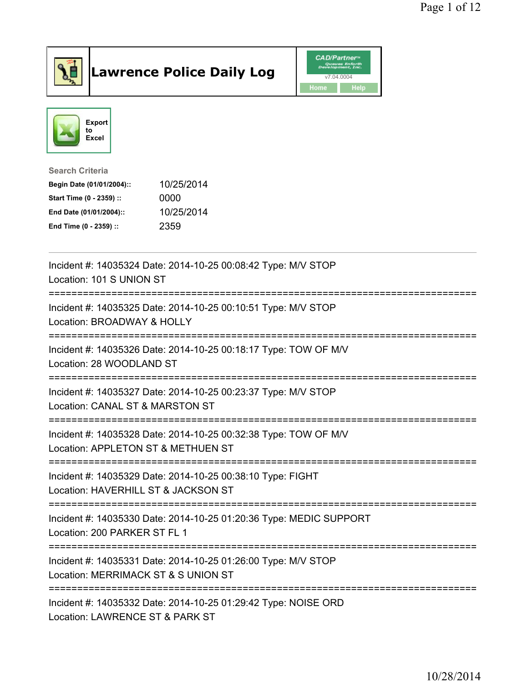

## Lawrence Police Daily Log **Daniel CAD/Partner**





## Search Criteria Begin Date (01/01/2004):: 10/25/2014 Start Time (0 - 2359) :: 0000 End Date (01/01/2004):: 10/25/2014 End Time (0 - 2359) :: 2359

| Incident #: 14035324 Date: 2014-10-25 00:08:42 Type: M/V STOP<br>Location: 101 S UNION ST                                           |
|-------------------------------------------------------------------------------------------------------------------------------------|
| Incident #: 14035325 Date: 2014-10-25 00:10:51 Type: M/V STOP<br>Location: BROADWAY & HOLLY                                         |
| Incident #: 14035326 Date: 2014-10-25 00:18:17 Type: TOW OF M/V<br>Location: 28 WOODLAND ST                                         |
| Incident #: 14035327 Date: 2014-10-25 00:23:37 Type: M/V STOP<br>Location: CANAL ST & MARSTON ST                                    |
| Incident #: 14035328 Date: 2014-10-25 00:32:38 Type: TOW OF M/V<br>Location: APPLETON ST & METHUEN ST                               |
| Incident #: 14035329 Date: 2014-10-25 00:38:10 Type: FIGHT<br>Location: HAVERHILL ST & JACKSON ST                                   |
| Incident #: 14035330 Date: 2014-10-25 01:20:36 Type: MEDIC SUPPORT<br>Location: 200 PARKER ST FL 1                                  |
| Incident #: 14035331 Date: 2014-10-25 01:26:00 Type: M/V STOP<br>Location: MERRIMACK ST & S UNION ST<br>=========================== |
| Incident #: 14035332 Date: 2014-10-25 01:29:42 Type: NOISE ORD<br>Location: LAWRENCE ST & PARK ST                                   |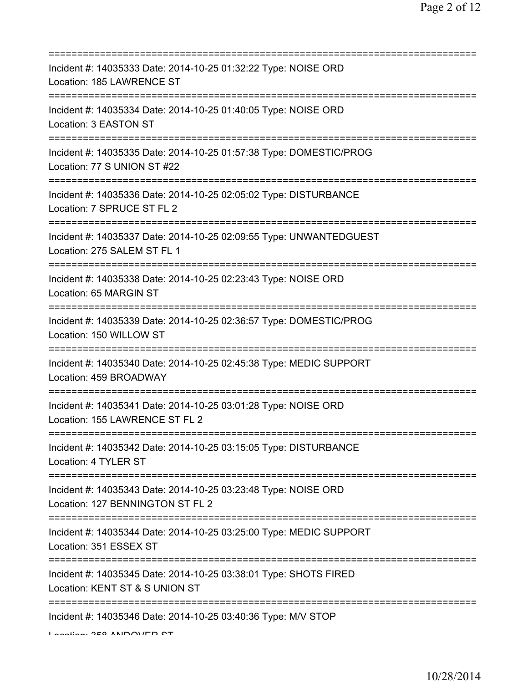| Incident #: 14035333 Date: 2014-10-25 01:32:22 Type: NOISE ORD<br>Location: 185 LAWRENCE ST                                       |
|-----------------------------------------------------------------------------------------------------------------------------------|
| Incident #: 14035334 Date: 2014-10-25 01:40:05 Type: NOISE ORD<br>Location: 3 EASTON ST                                           |
| Incident #: 14035335 Date: 2014-10-25 01:57:38 Type: DOMESTIC/PROG<br>Location: 77 S UNION ST #22                                 |
| Incident #: 14035336 Date: 2014-10-25 02:05:02 Type: DISTURBANCE<br>Location: 7 SPRUCE ST FL 2                                    |
| Incident #: 14035337 Date: 2014-10-25 02:09:55 Type: UNWANTEDGUEST<br>Location: 275 SALEM ST FL 1                                 |
| Incident #: 14035338 Date: 2014-10-25 02:23:43 Type: NOISE ORD<br>Location: 65 MARGIN ST<br>===================================== |
| Incident #: 14035339 Date: 2014-10-25 02:36:57 Type: DOMESTIC/PROG<br>Location: 150 WILLOW ST                                     |
| Incident #: 14035340 Date: 2014-10-25 02:45:38 Type: MEDIC SUPPORT<br>Location: 459 BROADWAY                                      |
| Incident #: 14035341 Date: 2014-10-25 03:01:28 Type: NOISE ORD<br>Location: 155 LAWRENCE ST FL 2                                  |
| Incident #: 14035342 Date: 2014-10-25 03:15:05 Type: DISTURBANCE<br>Location: 4 TYLER ST                                          |
| Incident #: 14035343 Date: 2014-10-25 03:23:48 Type: NOISE ORD<br>Location: 127 BENNINGTON ST FL 2                                |
| Incident #: 14035344 Date: 2014-10-25 03:25:00 Type: MEDIC SUPPORT<br>Location: 351 ESSEX ST                                      |
| Incident #: 14035345 Date: 2014-10-25 03:38:01 Type: SHOTS FIRED<br>Location: KENT ST & S UNION ST                                |
| =================<br>Incident #: 14035346 Date: 2014-10-25 03:40:36 Type: M/V STOP                                                |

Location: 358 ANDOVER ST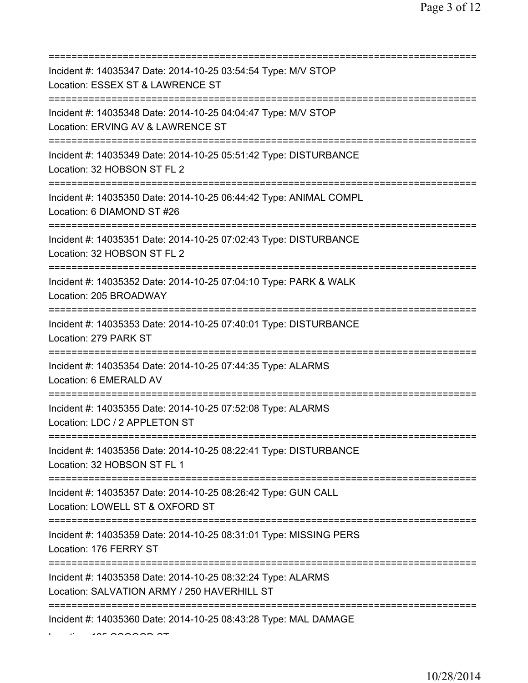| Incident #: 14035347 Date: 2014-10-25 03:54:54 Type: M/V STOP<br>Location: ESSEX ST & LAWRENCE ST<br>========================                     |
|---------------------------------------------------------------------------------------------------------------------------------------------------|
| Incident #: 14035348 Date: 2014-10-25 04:04:47 Type: M/V STOP<br>Location: ERVING AV & LAWRENCE ST                                                |
| Incident #: 14035349 Date: 2014-10-25 05:51:42 Type: DISTURBANCE<br>Location: 32 HOBSON ST FL 2                                                   |
| ======================<br>Incident #: 14035350 Date: 2014-10-25 06:44:42 Type: ANIMAL COMPL<br>Location: 6 DIAMOND ST #26                         |
| =====================================<br>Incident #: 14035351 Date: 2014-10-25 07:02:43 Type: DISTURBANCE<br>Location: 32 HOBSON ST FL 2          |
| ======================<br>Incident #: 14035352 Date: 2014-10-25 07:04:10 Type: PARK & WALK<br>Location: 205 BROADWAY                              |
| Incident #: 14035353 Date: 2014-10-25 07:40:01 Type: DISTURBANCE<br>Location: 279 PARK ST                                                         |
| Incident #: 14035354 Date: 2014-10-25 07:44:35 Type: ALARMS<br>Location: 6 EMERALD AV                                                             |
| Incident #: 14035355 Date: 2014-10-25 07:52:08 Type: ALARMS<br>Location: LDC / 2 APPLETON ST                                                      |
| Incident #: 14035356 Date: 2014-10-25 08:22:41 Type: DISTURBANCE<br>Location: 32 HOBSON ST FL 1                                                   |
| Incident #: 14035357 Date: 2014-10-25 08:26:42 Type: GUN CALL<br>Location: LOWELL ST & OXFORD ST                                                  |
| ======================================<br>Incident #: 14035359 Date: 2014-10-25 08:31:01 Type: MISSING PERS<br>Location: 176 FERRY ST             |
| ;==================================<br>Incident #: 14035358 Date: 2014-10-25 08:32:24 Type: ALARMS<br>Location: SALVATION ARMY / 250 HAVERHILL ST |
| Incident #: 14035360 Date: 2014-10-25 08:43:28 Type: MAL DAMAGE                                                                                   |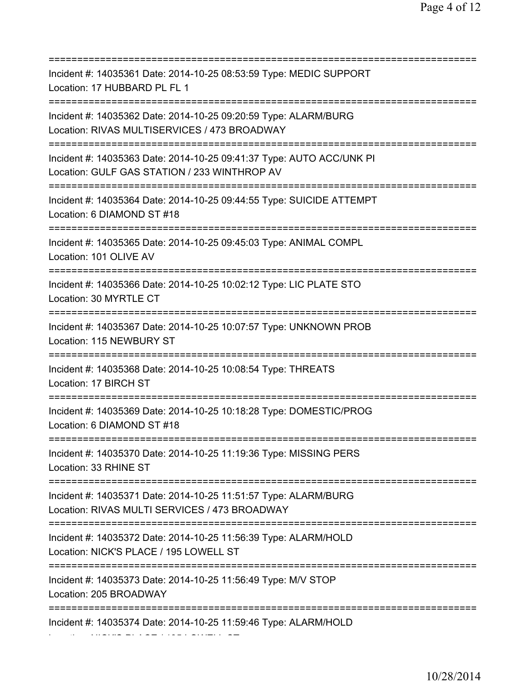| Incident #: 14035361 Date: 2014-10-25 08:53:59 Type: MEDIC SUPPORT<br>Location: 17 HUBBARD PL FL 1                                                  |
|-----------------------------------------------------------------------------------------------------------------------------------------------------|
| Incident #: 14035362 Date: 2014-10-25 09:20:59 Type: ALARM/BURG<br>Location: RIVAS MULTISERVICES / 473 BROADWAY                                     |
| Incident #: 14035363 Date: 2014-10-25 09:41:37 Type: AUTO ACC/UNK PI<br>Location: GULF GAS STATION / 233 WINTHROP AV<br>:========================== |
| Incident #: 14035364 Date: 2014-10-25 09:44:55 Type: SUICIDE ATTEMPT<br>Location: 6 DIAMOND ST #18                                                  |
| Incident #: 14035365 Date: 2014-10-25 09:45:03 Type: ANIMAL COMPL<br>Location: 101 OLIVE AV<br>===============================                      |
| Incident #: 14035366 Date: 2014-10-25 10:02:12 Type: LIC PLATE STO<br>Location: 30 MYRTLE CT                                                        |
| Incident #: 14035367 Date: 2014-10-25 10:07:57 Type: UNKNOWN PROB<br>Location: 115 NEWBURY ST                                                       |
| Incident #: 14035368 Date: 2014-10-25 10:08:54 Type: THREATS<br>Location: 17 BIRCH ST                                                               |
| Incident #: 14035369 Date: 2014-10-25 10:18:28 Type: DOMESTIC/PROG<br>Location: 6 DIAMOND ST #18                                                    |
| Incident #: 14035370 Date: 2014-10-25 11:19:36 Type: MISSING PERS<br>Location: 33 RHINE ST                                                          |
| Incident #: 14035371 Date: 2014-10-25 11:51:57 Type: ALARM/BURG<br>Location: RIVAS MULTI SERVICES / 473 BROADWAY                                    |
| Incident #: 14035372 Date: 2014-10-25 11:56:39 Type: ALARM/HOLD<br>Location: NICK'S PLACE / 195 LOWELL ST                                           |
| Incident #: 14035373 Date: 2014-10-25 11:56:49 Type: M/V STOP<br>Location: 205 BROADWAY                                                             |
| :============================<br>Incident #: 14035374 Date: 2014-10-25 11:59:46 Type: ALARM/HOLD                                                    |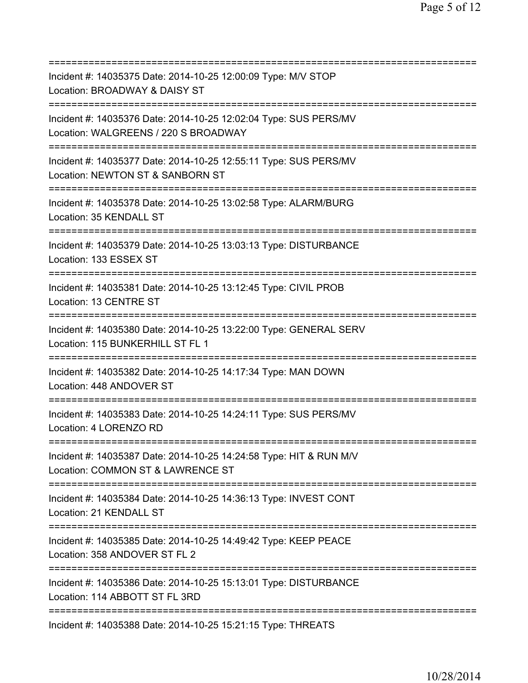| Incident #: 14035375 Date: 2014-10-25 12:00:09 Type: M/V STOP<br>Location: BROADWAY & DAISY ST                                              |
|---------------------------------------------------------------------------------------------------------------------------------------------|
| Incident #: 14035376 Date: 2014-10-25 12:02:04 Type: SUS PERS/MV<br>Location: WALGREENS / 220 S BROADWAY<br>_______________________________ |
| Incident #: 14035377 Date: 2014-10-25 12:55:11 Type: SUS PERS/MV<br>Location: NEWTON ST & SANBORN ST                                        |
| Incident #: 14035378 Date: 2014-10-25 13:02:58 Type: ALARM/BURG<br>Location: 35 KENDALL ST<br>=================================             |
| Incident #: 14035379 Date: 2014-10-25 13:03:13 Type: DISTURBANCE<br>Location: 133 ESSEX ST                                                  |
| Incident #: 14035381 Date: 2014-10-25 13:12:45 Type: CIVIL PROB<br>Location: 13 CENTRE ST                                                   |
| Incident #: 14035380 Date: 2014-10-25 13:22:00 Type: GENERAL SERV<br>Location: 115 BUNKERHILL ST FL 1<br>==============                     |
| Incident #: 14035382 Date: 2014-10-25 14:17:34 Type: MAN DOWN<br>Location: 448 ANDOVER ST                                                   |
| Incident #: 14035383 Date: 2014-10-25 14:24:11 Type: SUS PERS/MV<br>Location: 4 LORENZO RD                                                  |
| Incident #: 14035387 Date: 2014-10-25 14:24:58 Type: HIT & RUN M/V<br>Location: COMMON ST & LAWRENCE ST                                     |
| Incident #: 14035384 Date: 2014-10-25 14:36:13 Type: INVEST CONT<br>Location: 21 KENDALL ST<br>====================================         |
| Incident #: 14035385 Date: 2014-10-25 14:49:42 Type: KEEP PEACE<br>Location: 358 ANDOVER ST FL 2                                            |
| ======<br>Incident #: 14035386 Date: 2014-10-25 15:13:01 Type: DISTURBANCE<br>Location: 114 ABBOTT ST FL 3RD                                |
| Incident #: 14035388 Date: 2014-10-25 15:21:15 Type: THREATS                                                                                |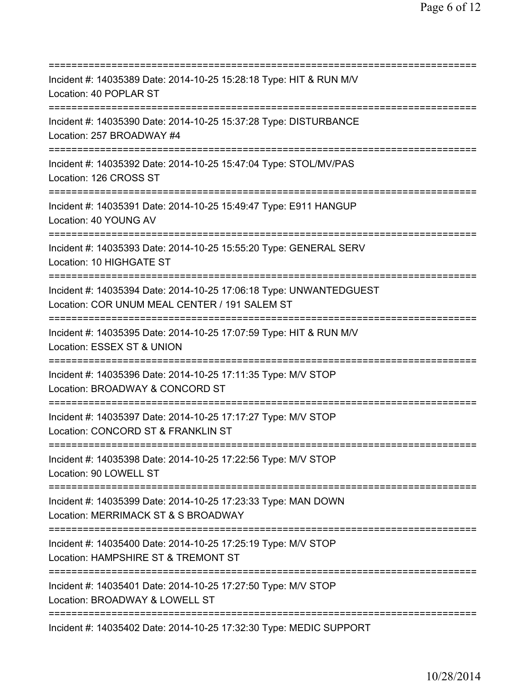=========================================================================== Incident #: 14035389 Date: 2014-10-25 15:28:18 Type: HIT & RUN M/V Location: 40 POPLAR ST =========================================================================== Incident #: 14035390 Date: 2014-10-25 15:37:28 Type: DISTURBANCE Location: 257 BROADWAY #4 =========================================================================== Incident #: 14035392 Date: 2014-10-25 15:47:04 Type: STOL/MV/PAS Location: 126 CROSS ST =========================================================================== Incident #: 14035391 Date: 2014-10-25 15:49:47 Type: E911 HANGUP Location: 40 YOUNG AV =========================================================================== Incident #: 14035393 Date: 2014-10-25 15:55:20 Type: GENERAL SERV Location: 10 HIGHGATE ST =========================================================================== Incident #: 14035394 Date: 2014-10-25 17:06:18 Type: UNWANTEDGUEST Location: COR UNUM MEAL CENTER / 191 SALEM ST =========================================================================== Incident #: 14035395 Date: 2014-10-25 17:07:59 Type: HIT & RUN M/V Location: ESSEX ST & UNION =========================================================================== Incident #: 14035396 Date: 2014-10-25 17:11:35 Type: M/V STOP Location: BROADWAY & CONCORD ST =========================================================================== Incident #: 14035397 Date: 2014-10-25 17:17:27 Type: M/V STOP Location: CONCORD ST & FRANKLIN ST =========================================================================== Incident #: 14035398 Date: 2014-10-25 17:22:56 Type: M/V STOP Location: 90 LOWELL ST =========================================================================== Incident #: 14035399 Date: 2014-10-25 17:23:33 Type: MAN DOWN Location: MERRIMACK ST & S BROADWAY =========================================================================== Incident #: 14035400 Date: 2014-10-25 17:25:19 Type: M/V STOP Location: HAMPSHIRE ST & TREMONT ST =========================================================================== Incident #: 14035401 Date: 2014-10-25 17:27:50 Type: M/V STOP Location: BROADWAY & LOWELL ST =========================================================================== Incident #: 14035402 Date: 2014-10-25 17:32:30 Type: MEDIC SUPPORT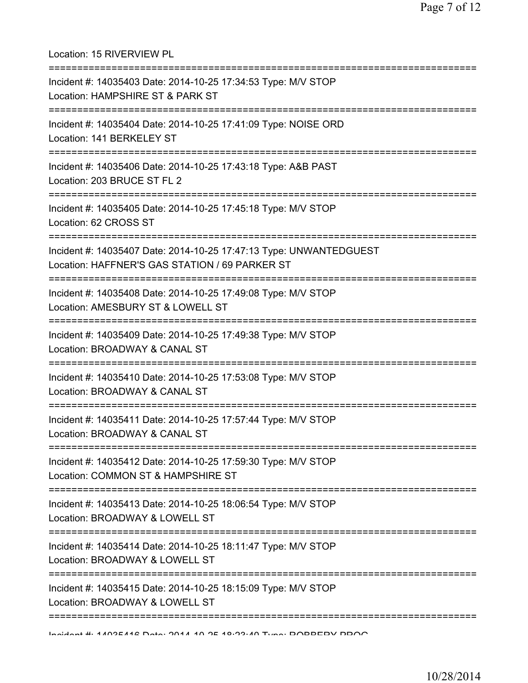Location: 15 RIVERVIEW PL =========================================================================== Incident #: 14035403 Date: 2014-10-25 17:34:53 Type: M/V STOP Location: HAMPSHIRE ST & PARK ST =========================================================================== Incident #: 14035404 Date: 2014-10-25 17:41:09 Type: NOISE ORD Location: 141 BERKELEY ST =========================================================================== Incident #: 14035406 Date: 2014-10-25 17:43:18 Type: A&B PAST Location: 203 BRUCE ST FL 2 =========================================================================== Incident #: 14035405 Date: 2014-10-25 17:45:18 Type: M/V STOP Location: 62 CROSS ST =========================================================================== Incident #: 14035407 Date: 2014-10-25 17:47:13 Type: UNWANTEDGUEST Location: HAFFNER'S GAS STATION / 69 PARKER ST =========================================================================== Incident #: 14035408 Date: 2014-10-25 17:49:08 Type: M/V STOP Location: AMESBURY ST & LOWELL ST =========================================================================== Incident #: 14035409 Date: 2014-10-25 17:49:38 Type: M/V STOP Location: BROADWAY & CANAL ST =========================================================================== Incident #: 14035410 Date: 2014-10-25 17:53:08 Type: M/V STOP Location: BROADWAY & CANAL ST =========================================================================== Incident #: 14035411 Date: 2014-10-25 17:57:44 Type: M/V STOP Location: BROADWAY & CANAL ST =========================================================================== Incident #: 14035412 Date: 2014-10-25 17:59:30 Type: M/V STOP Location: COMMON ST & HAMPSHIRE ST =========================================================================== Incident #: 14035413 Date: 2014-10-25 18:06:54 Type: M/V STOP Location: BROADWAY & LOWELL ST =========================================================================== Incident #: 14035414 Date: 2014-10-25 18:11:47 Type: M/V STOP Location: BROADWAY & LOWELL ST =========================================================================== Incident #: 14035415 Date: 2014-10-25 18:15:09 Type: M/V STOP Location: BROADWAY & LOWELL ST ===========================================================================

Incident #: 14035416 Date: 2014 10 25 18:23:40 Type: ROBBERY PROG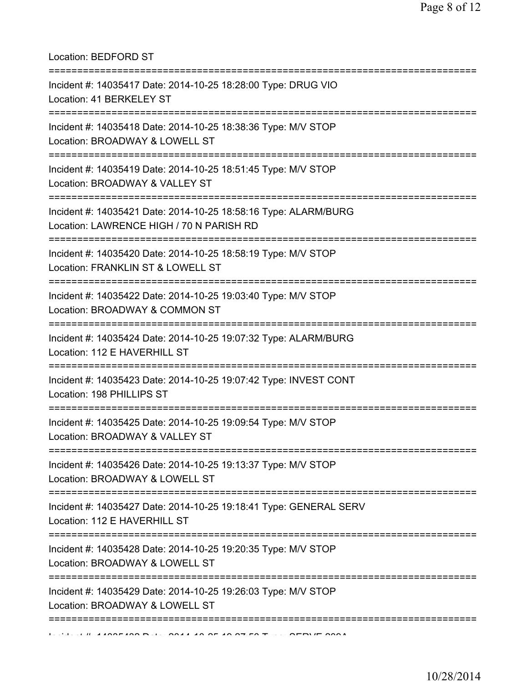Location: BEDFORD ST

| Incident #: 14035417 Date: 2014-10-25 18:28:00 Type: DRUG VIO<br>Location: 41 BERKELEY ST                                    |
|------------------------------------------------------------------------------------------------------------------------------|
| Incident #: 14035418 Date: 2014-10-25 18:38:36 Type: M/V STOP<br>Location: BROADWAY & LOWELL ST<br>========================= |
| Incident #: 14035419 Date: 2014-10-25 18:51:45 Type: M/V STOP<br>Location: BROADWAY & VALLEY ST                              |
| Incident #: 14035421 Date: 2014-10-25 18:58:16 Type: ALARM/BURG<br>Location: LAWRENCE HIGH / 70 N PARISH RD                  |
| Incident #: 14035420 Date: 2014-10-25 18:58:19 Type: M/V STOP<br>Location: FRANKLIN ST & LOWELL ST                           |
| Incident #: 14035422 Date: 2014-10-25 19:03:40 Type: M/V STOP<br>Location: BROADWAY & COMMON ST                              |
| Incident #: 14035424 Date: 2014-10-25 19:07:32 Type: ALARM/BURG<br>Location: 112 E HAVERHILL ST                              |
| Incident #: 14035423 Date: 2014-10-25 19:07:42 Type: INVEST CONT<br>Location: 198 PHILLIPS ST                                |
| Incident #: 14035425 Date: 2014-10-25 19:09:54 Type: M/V STOP<br>Location: BROADWAY & VALLEY ST                              |
| Incident #: 14035426 Date: 2014-10-25 19:13:37 Type: M/V STOP<br>Location: BROADWAY & LOWELL ST                              |
| Incident #: 14035427 Date: 2014-10-25 19:18:41 Type: GENERAL SERV<br>Location: 112 E HAVERHILL ST                            |
| Incident #: 14035428 Date: 2014-10-25 19:20:35 Type: M/V STOP<br>Location: BROADWAY & LOWELL ST                              |
| Incident #: 14035429 Date: 2014-10-25 19:26:03 Type: M/V STOP<br>Location: BROADWAY & LOWELL ST                              |
|                                                                                                                              |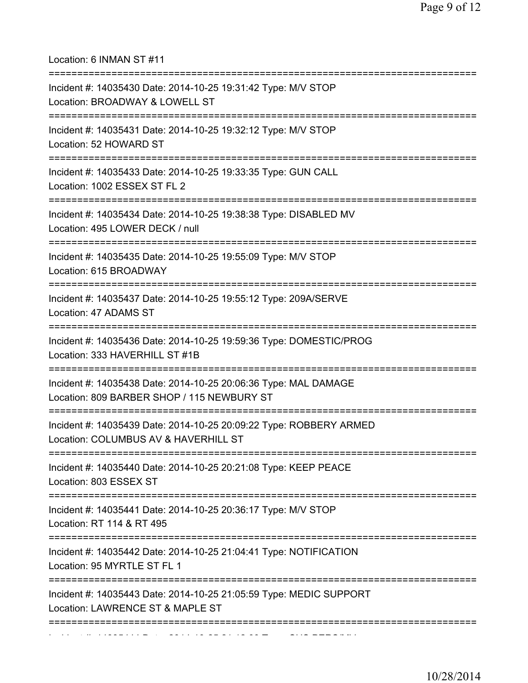Location: 6 INMAN ST #11

| ;===================================<br>Incident #: 14035430 Date: 2014-10-25 19:31:42 Type: M/V STOP<br>Location: BROADWAY & LOWELL ST                |
|--------------------------------------------------------------------------------------------------------------------------------------------------------|
| Incident #: 14035431 Date: 2014-10-25 19:32:12 Type: M/V STOP<br>Location: 52 HOWARD ST                                                                |
| Incident #: 14035433 Date: 2014-10-25 19:33:35 Type: GUN CALL<br>Location: 1002 ESSEX ST FL 2                                                          |
| Incident #: 14035434 Date: 2014-10-25 19:38:38 Type: DISABLED MV<br>Location: 495 LOWER DECK / null                                                    |
| Incident #: 14035435 Date: 2014-10-25 19:55:09 Type: M/V STOP<br>Location: 615 BROADWAY                                                                |
| Incident #: 14035437 Date: 2014-10-25 19:55:12 Type: 209A/SERVE<br>Location: 47 ADAMS ST                                                               |
| Incident #: 14035436 Date: 2014-10-25 19:59:36 Type: DOMESTIC/PROG<br>Location: 333 HAVERHILL ST #1B                                                   |
| Incident #: 14035438 Date: 2014-10-25 20:06:36 Type: MAL DAMAGE<br>Location: 809 BARBER SHOP / 115 NEWBURY ST<br>===================================== |
| Incident #: 14035439 Date: 2014-10-25 20:09:22 Type: ROBBERY ARMED<br>Location: COLUMBUS AV & HAVERHILL ST                                             |
| Incident #: 14035440 Date: 2014-10-25 20:21:08 Type: KEEP PEACE<br>Location: 803 ESSEX ST                                                              |
| Incident #: 14035441 Date: 2014-10-25 20:36:17 Type: M/V STOP<br>Location: RT 114 & RT 495                                                             |
| Incident #: 14035442 Date: 2014-10-25 21:04:41 Type: NOTIFICATION<br>Location: 95 MYRTLE ST FL 1                                                       |
| Incident #: 14035443 Date: 2014-10-25 21:05:59 Type: MEDIC SUPPORT<br>Location: LAWRENCE ST & MAPLE ST                                                 |
|                                                                                                                                                        |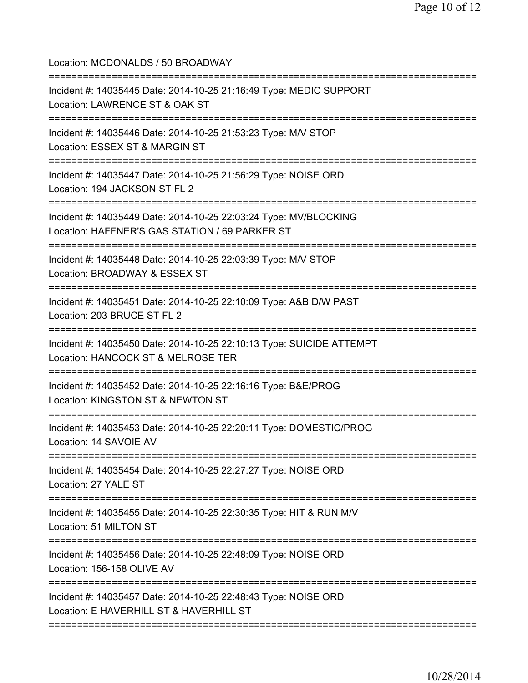Location: MCDONALDS / 50 BROADWAY

| Incident #: 14035445 Date: 2014-10-25 21:16:49 Type: MEDIC SUPPORT<br>Location: LAWRENCE ST & OAK ST                                                                |
|---------------------------------------------------------------------------------------------------------------------------------------------------------------------|
| Incident #: 14035446 Date: 2014-10-25 21:53:23 Type: M/V STOP<br>Location: ESSEX ST & MARGIN ST<br>=========================<br>=================================== |
| Incident #: 14035447 Date: 2014-10-25 21:56:29 Type: NOISE ORD<br>Location: 194 JACKSON ST FL 2<br>:======================                                          |
| Incident #: 14035449 Date: 2014-10-25 22:03:24 Type: MV/BLOCKING<br>Location: HAFFNER'S GAS STATION / 69 PARKER ST                                                  |
| Incident #: 14035448 Date: 2014-10-25 22:03:39 Type: M/V STOP<br>Location: BROADWAY & ESSEX ST                                                                      |
| Incident #: 14035451 Date: 2014-10-25 22:10:09 Type: A&B D/W PAST<br>Location: 203 BRUCE ST FL 2                                                                    |
| Incident #: 14035450 Date: 2014-10-25 22:10:13 Type: SUICIDE ATTEMPT<br>Location: HANCOCK ST & MELROSE TER                                                          |
| Incident #: 14035452 Date: 2014-10-25 22:16:16 Type: B&E/PROG<br>Location: KINGSTON ST & NEWTON ST                                                                  |
| Incident #: 14035453 Date: 2014-10-25 22:20:11 Type: DOMESTIC/PROG<br>Location: 14 SAVOIE AV                                                                        |
| Incident #: 14035454 Date: 2014-10-25 22:27:27 Type: NOISE ORD<br>Location: 27 YALE ST                                                                              |
| Incident #: 14035455 Date: 2014-10-25 22:30:35 Type: HIT & RUN M/V<br>Location: 51 MILTON ST                                                                        |
| Incident #: 14035456 Date: 2014-10-25 22:48:09 Type: NOISE ORD<br>Location: 156-158 OLIVE AV                                                                        |
| Incident #: 14035457 Date: 2014-10-25 22:48:43 Type: NOISE ORD<br>Location: E HAVERHILL ST & HAVERHILL ST                                                           |
|                                                                                                                                                                     |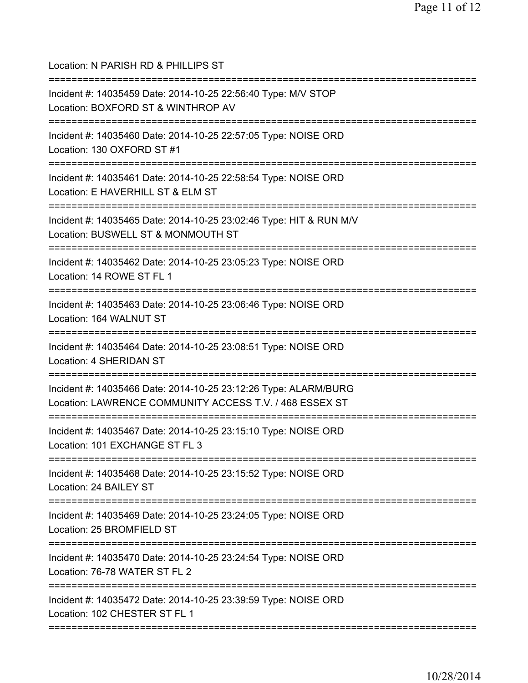| Location: N PARISH RD & PHILLIPS ST                                                                                                  |
|--------------------------------------------------------------------------------------------------------------------------------------|
| Incident #: 14035459 Date: 2014-10-25 22:56:40 Type: M/V STOP<br>Location: BOXFORD ST & WINTHROP AV                                  |
| Incident #: 14035460 Date: 2014-10-25 22:57:05 Type: NOISE ORD<br>Location: 130 OXFORD ST #1<br>==================================== |
| Incident #: 14035461 Date: 2014-10-25 22:58:54 Type: NOISE ORD<br>Location: E HAVERHILL ST & ELM ST<br>=======================       |
| Incident #: 14035465 Date: 2014-10-25 23:02:46 Type: HIT & RUN M/V<br>Location: BUSWELL ST & MONMOUTH ST                             |
| Incident #: 14035462 Date: 2014-10-25 23:05:23 Type: NOISE ORD<br>Location: 14 ROWE ST FL 1                                          |
| Incident #: 14035463 Date: 2014-10-25 23:06:46 Type: NOISE ORD<br>Location: 164 WALNUT ST                                            |
| Incident #: 14035464 Date: 2014-10-25 23:08:51 Type: NOISE ORD<br>Location: 4 SHERIDAN ST                                            |
| Incident #: 14035466 Date: 2014-10-25 23:12:26 Type: ALARM/BURG<br>Location: LAWRENCE COMMUNITY ACCESS T.V. / 468 ESSEX ST           |
| Incident #: 14035467 Date: 2014-10-25 23:15:10 Type: NOISE ORD<br>Location: 101 EXCHANGE ST FL 3                                     |
| Incident #: 14035468 Date: 2014-10-25 23:15:52 Type: NOISE ORD<br>Location: 24 BAILEY ST                                             |
| :==================================<br>Incident #: 14035469 Date: 2014-10-25 23:24:05 Type: NOISE ORD<br>Location: 25 BROMFIELD ST   |
| :==========================<br>Incident #: 14035470 Date: 2014-10-25 23:24:54 Type: NOISE ORD<br>Location: 76-78 WATER ST FL 2       |
| Incident #: 14035472 Date: 2014-10-25 23:39:59 Type: NOISE ORD<br>Location: 102 CHESTER ST FL 1                                      |
|                                                                                                                                      |